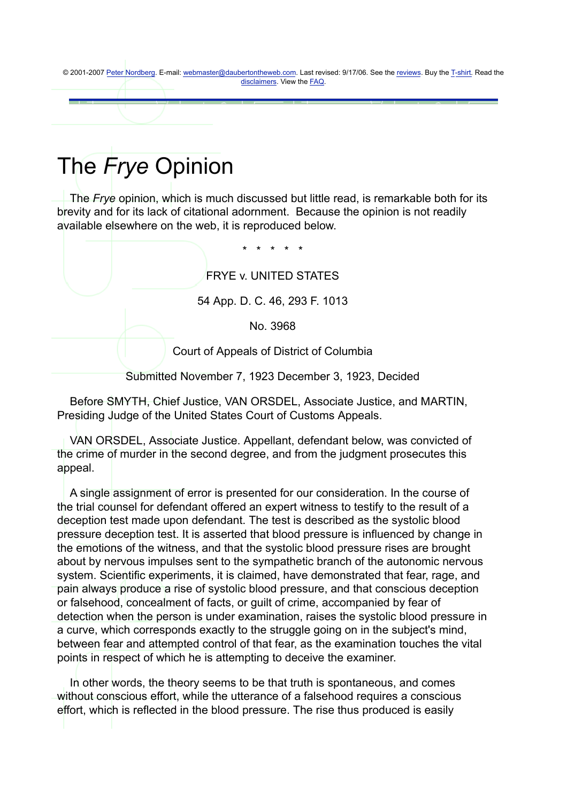© 2001-2007 Peter Nordberg. E-mail: webmaster@daubertontheweb.com. Last revised: 9/17/06. See the reviews. Buy the T-shirt. Read the disclaimers. View the **FAQ**.

## The *Frye* Opinion

 The *Frye* opinion, which is much discussed but little read, is remarkable both for its brevity and for its lack of citational adornment. Because the opinion is not readily available elsewhere on the web, it is reproduced below.

\* \* \* \* \*

FRYE v. UNITED STATES

54 App. D. C. 46, 293 F. 1013

No. 3968

Court of Appeals of District of Columbia

Submitted November 7, 1923 December 3, 1923, Decided

 Before SMYTH, Chief Justice, VAN ORSDEL, Associate Justice, and MARTIN, Presiding Judge of the United States Court of Customs Appeals.

 VAN ORSDEL, Associate Justice. Appellant, defendant below, was convicted of the crime of murder in the second degree, and from the judgment prosecutes this appeal.

 A single assignment of error is presented for our consideration. In the course of the trial counsel for defendant offered an expert witness to testify to the result of a deception test made upon defendant. The test is described as the systolic blood pressure deception test. It is asserted that blood pressure is influenced by change in the emotions of the witness, and that the systolic blood pressure rises are brought about by nervous impulses sent to the sympathetic branch of the autonomic nervous system. Scientific experiments, it is claimed, have demonstrated that fear, rage, and pain always produce a rise of systolic blood pressure, and that conscious deception or falsehood, concealment of facts, or guilt of crime, accompanied by fear of detection when the person is under examination, raises the systolic blood pressure in a curve, which corresponds exactly to the struggle going on in the subject's mind, between fear and attempted control of that fear, as the examination touches the vital points in respect of which he is attempting to deceive the examiner.

 In other words, the theory seems to be that truth is spontaneous, and comes without conscious effort, while the utterance of a falsehood requires a conscious effort, which is reflected in the blood pressure. The rise thus produced is easily